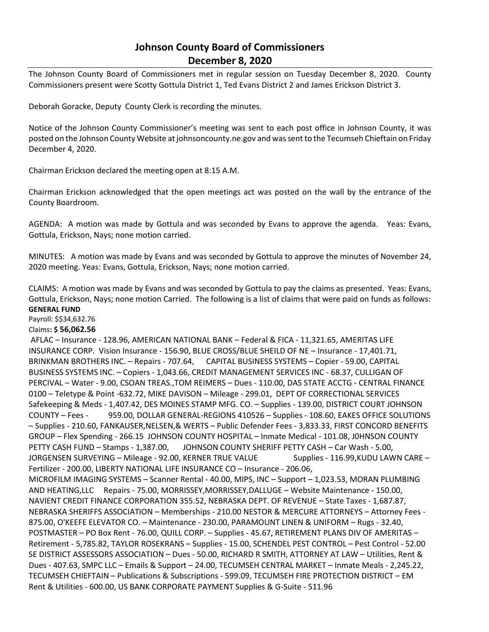## **Johnson County Board of Commissioners December 8, 2020**

The Johnson County Board of Commissioners met in regular session on Tuesday December 8, 2020. County Commissioners present were Scotty Gottula District 1, Ted Evans District 2 and James Erickson District 3.

Deborah Goracke, Deputy County Clerk is recording the minutes.

Notice of the Johnson County Commissioner's meeting was sent to each post office in Johnson County, it was posted on the Johnson County Website at johnsoncounty.ne.gov and was sent to the Tecumseh Chieftain on Friday December 4, 2020.

Chairman Erickson declared the meeting open at 8:15 A.M.

Chairman Erickson acknowledged that the open meetings act was posted on the wall by the entrance of the County Boardroom.

AGENDA: A motion was made by Gottula and was seconded by Evans to approve the agenda. Yeas: Evans, Gottula, Erickson, Nays; none motion carried.

MINUTES: A motion was made by Evans and was seconded by Gottula to approve the minutes of November 24, 2020 meeting. Yeas: Evans, Gottula, Erickson, Nays; none motion carried.

CLAIMS: A motion was made by Evans and was seconded by Gottula to pay the claims as presented. Yeas: Evans, Gottula, Erickson, Nays; none motion Carried. The following is a list of claims that were paid on funds as follows: **GENERAL FUND**

Payroll: \$\$34,632.76

## Claims**: \$ 56,062.56**

AFLAC – Insurance - 128.96, AMERICAN NATIONAL BANK – Federal & FICA - 11,321.65, AMERITAS LIFE INSURANCE CORP. Vision Insurance - 156.90, BLUE CROSS/BLUE SHEILD OF NE – Insurance - 17,401.71, BRINKMAN BROTHERS INC. – Repairs - 707.64, CAPITAL BUSINESS SYSTEMS – Copier - 59.00, CAPITAL BUSINESS SYSTEMS INC. – Copiers - 1,043.66, CREDIT MANAGEMENT SERVICES INC - 68.37, CULLIGAN OF PERCIVAL – Water - 9.00, CSOAN TREAS.,TOM REIMERS – Dues - 110.00, DAS STATE ACCTG - CENTRAL FINANCE 0100 – Teletype & Point -632.72, MIKE DAVISON – Mileage - 299.01, DEPT OF CORRECTIONAL SERVICES Safekeeping & Meds - 1,407.42, DES MOINES STAMP MFG. CO. – Supplies - 139.00, DISTRICT COURT JOHNSON COUNTY – Fees - 959.00, DOLLAR GENERAL-REGIONS 410526 – Supplies - 108.60, EAKES OFFICE SOLUTIONS – Supplies - 210.60, FANKAUSER,NELSEN,& WERTS – Public Defender Fees - 3,833.33, FIRST CONCORD BENEFITS GROUP – Flex Spending - 266.15 JOHNSON COUNTY HOSPITAL – Inmate Medical - 101.08, J0HNSON COUNTY PETTY CASH FUND – Stamps - 1,387.00, JOHNSON COUNTY SHERIFF PETTY CASH – Car Wash - 5.00, JORGENSEN SURVEYING – Mileage - 92.00, KERNER TRUE VALUE Supplies - 116.99,KUDU LAWN CARE – Fertilizer - 200.00, LIBERTY NATIONAL LIFE INSURANCE CO – Insurance - 206.06, MICROFILM IMAGING SYSTEMS – Scanner Rental - 40.00, MIPS, INC – Support – 1,023.53, MORAN PLUMBING AND HEATING,LLC Repairs - 75.00, MORRISSEY,MORRISSEY,DALLUGE – Website Maintenance - 150.00, NAVIENT CREDIT FINANCE CORPORATION 355.52, NEBRASKA DEPT. OF REVENUE – State Taxes - 1,687.87, NEBRASKA SHERIFFS ASSOCIATION – Memberships - 210.00 NESTOR & MERCURE ATTORNEYS – Attorney Fees - 875.00, O'KEEFE ELEVATOR CO. – Maintenance - 230.00, PARAMOUNT LINEN & UNIFORM – Rugs - 32.40, POSTMASTER – PO Box Rent - 76.00, QUILL CORP. – Supplies - 45.67, RETIREMENT PLANS DIV OF AMERITAS – Retirement - 5,785.82, TAYLOR ROSEKRANS – Supplies - 15.00, SCHENDEL PEST CONTROL – Pest Control - 52.00 SE DISTRICT ASSESSORS ASSOCIATION – Dues - 50.00, RICHARD R SMITH, ATTORNEY AT LAW – Utilities, Rent & Dues - 407.63, SMPC LLC – Emails & Support – 24.00, TECUMSEH CENTRAL MARKET – Inmate Meals - 2,245.22, TECUMSEH CHIEFTAIN – Publications & Subscriptions - 599.09, TECUMSEH FIRE PROTECTION DISTRICT – EM Rent & Utilities - 600.00, US BANK CORPORATE PAYMENT Supplies & G-Suite - 511.96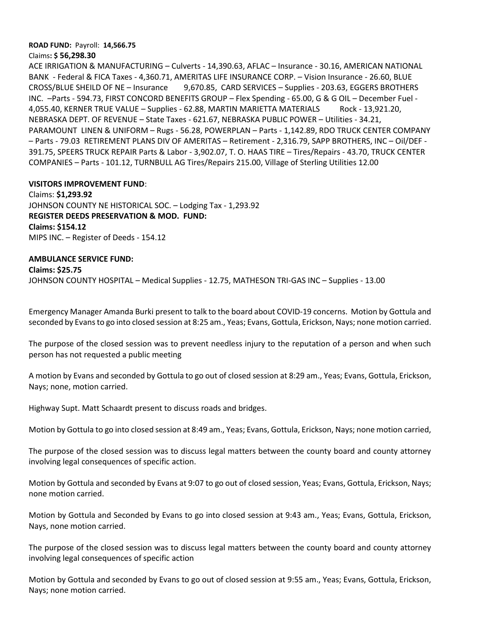## **ROAD FUND:** Payroll: **14,566.75** Claims**: \$ 56,298.30**

ACE IRRIGATION & MANUFACTURING – Culverts - 14,390.63, AFLAC – Insurance - 30.16, AMERICAN NATIONAL BANK - Federal & FICA Taxes - 4,360.71, AMERITAS LIFE INSURANCE CORP. – Vision Insurance - 26.60, BLUE CROSS/BLUE SHEILD OF NE – Insurance 9,670.85, CARD SERVICES – Supplies - 203.63, EGGERS BROTHERS INC. –Parts - 594.73, FIRST CONCORD BENEFITS GROUP – Flex Spending - 65.00, G & G OIL – December Fuel - 4,055.40, KERNER TRUE VALUE – Supplies - 62.88, MARTIN MARIETTA MATERIALS Rock - 13,921.20, NEBRASKA DEPT. OF REVENUE – State Taxes - 621.67, NEBRASKA PUBLIC POWER – Utilities - 34.21, PARAMOUNT LINEN & UNIFORM – Rugs - 56.28, POWERPLAN – Parts - 1,142.89, RDO TRUCK CENTER COMPANY – Parts - 79.03 RETIREMENT PLANS DIV OF AMERITAS – Retirement - 2,316.79, SAPP BROTHERS, INC – Oil/DEF - 391.75, SPEERS TRUCK REPAIR Parts & Labor - 3,902.07, T. O. HAAS TIRE – Tires/Repairs - 43.70, TRUCK CENTER COMPANIES – Parts - 101.12, TURNBULL AG Tires/Repairs 215.00, Village of Sterling Utilities 12.00

**VISITORS IMPROVEMENT FUND**: Claims: **\$1,293.92** JOHNSON COUNTY NE HISTORICAL SOC. – Lodging Tax - 1,293.92 **REGISTER DEEDS PRESERVATION & MOD. FUND: Claims: \$154.12** MIPS INC. – Register of Deeds - 154.12

## **AMBULANCE SERVICE FUND: Claims: \$25.75** JOHNSON COUNTY HOSPITAL – Medical Supplies - 12.75, MATHESON TRI-GAS INC – Supplies - 13.00

Emergency Manager Amanda Burki present to talk to the board about COVID-19 concerns. Motion by Gottula and seconded by Evans to go into closed session at 8:25 am., Yeas; Evans, Gottula, Erickson, Nays; none motion carried.

The purpose of the closed session was to prevent needless injury to the reputation of a person and when such person has not requested a public meeting

A motion by Evans and seconded by Gottula to go out of closed session at 8:29 am., Yeas; Evans, Gottula, Erickson, Nays; none, motion carried.

Highway Supt. Matt Schaardt present to discuss roads and bridges.

Motion by Gottula to go into closed session at 8:49 am., Yeas; Evans, Gottula, Erickson, Nays; none motion carried,

The purpose of the closed session was to discuss legal matters between the county board and county attorney involving legal consequences of specific action.

Motion by Gottula and seconded by Evans at 9:07 to go out of closed session, Yeas; Evans, Gottula, Erickson, Nays; none motion carried.

Motion by Gottula and Seconded by Evans to go into closed session at 9:43 am., Yeas; Evans, Gottula, Erickson, Nays, none motion carried.

The purpose of the closed session was to discuss legal matters between the county board and county attorney involving legal consequences of specific action

Motion by Gottula and seconded by Evans to go out of closed session at 9:55 am., Yeas; Evans, Gottula, Erickson, Nays; none motion carried.